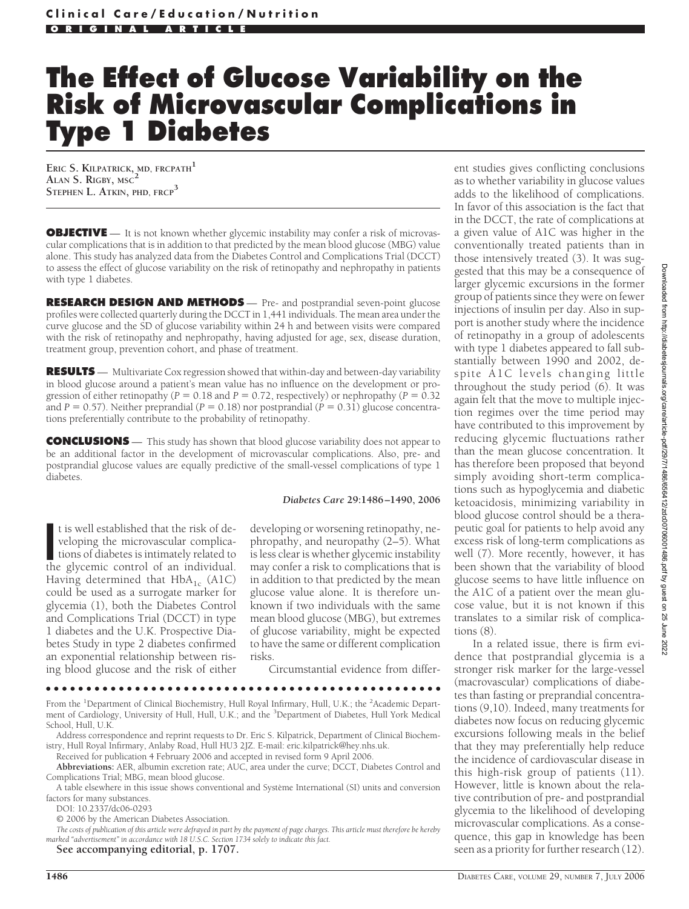# **The Effect of Glucose Variability on the Risk of Microvascular Complications in Type 1 Diabetes**

**ERIC S. KILPATRICK, MD, FRCPATH<sup>1</sup> ALAN S. RIGBY, MSC<sup>2</sup> STEPHEN L. ATKIN, PHD, FRCP<sup>3</sup>**

**OBJECTIVE** — It is not known whether glycemic instability may confer a risk of microvascular complications that is in addition to that predicted by the mean blood glucose (MBG) value alone. This study has analyzed data from the Diabetes Control and Complications Trial (DCCT) to assess the effect of glucose variability on the risk of retinopathy and nephropathy in patients with type 1 diabetes.

**RESEARCH DESIGN AND METHODS** — Pre- and postprandial seven-point glucose profiles were collected quarterly during the DCCT in 1,441 individuals. The mean area under the curve glucose and the SD of glucose variability within 24 h and between visits were compared with the risk of retinopathy and nephropathy, having adjusted for age, sex, disease duration, treatment group, prevention cohort, and phase of treatment.

**RESULTS** — Multivariate Cox regression showed that within-day and between-day variability in blood glucose around a patient's mean value has no influence on the development or progression of either retinopathy ( $P = 0.18$  and  $P = 0.72$ , respectively) or nephropathy ( $P = 0.32$ and  $P = 0.57$ ). Neither preprandial ( $P = 0.18$ ) nor postprandial ( $P = 0.31$ ) glucose concentrations preferentially contribute to the probability of retinopathy.

**CONCLUSIONS** — This study has shown that blood glucose variability does not appear to be an additional factor in the development of microvascular complications. Also, pre- and postprandial glucose values are equally predictive of the small-vessel complications of type 1 diabetes.

#### *Diabetes Care* **29:1486 –1490, 2006**

It is well established that the risk of developing the microvascular complications of diabetes is intimately related to the glycemic control of an individual. t is well established that the risk of developing the microvascular complications of diabetes is intimately related to Having determined that  $HbA_{1c}$  (A1C) could be used as a surrogate marker for glycemia (1), both the Diabetes Control and Complications Trial (DCCT) in type 1 diabetes and the U.K. Prospective Diabetes Study in type 2 diabetes confirmed an exponential relationship between rising blood glucose and the risk of either

developing or worsening retinopathy, nephropathy, and neuropathy (2–5). What is less clear is whether glycemic instability may confer a risk to complications that is in addition to that predicted by the mean glucose value alone. It is therefore unknown if two individuals with the same mean blood glucose (MBG), but extremes of glucose variability, might be expected to have the same or different complication risks.

Circumstantial evidence from differ-

●●●●●●●●●●●●●●●●●●●●●●●●●●●●●●●●●●●●●●●●●●●●●●●●●

From the <sup>1</sup>Department of Clinical Biochemistry, Hull Royal Infirmary, Hull, U.K.; the <sup>2</sup>Academic Department of Cardiology, University of Hull, Hull, U.K.; and the <sup>3</sup>Department of Diabetes, Hull York Medical School, Hull, U.K.

Address correspondence and reprint requests to Dr. Eric S. Kilpatrick, Department of Clinical Biochemistry, Hull Royal Infirmary, Anlaby Road, Hull HU3 2JZ. E-mail: eric.kilpatrick@hey.nhs.uk.

Received for publication 4 February 2006 and accepted in revised form 9 April 2006.

**Abbreviations:** AER, albumin excretion rate; AUC, area under the curve; DCCT, Diabetes Control and Complications Trial; MBG, mean blood glucose.

A table elsewhere in this issue shows conventional and Système International (SI) units and conversion factors for many substances.

DOI: 10.2337/dc06-0293

© 2006 by the American Diabetes Association.

*The costs of publication of this article were defrayed in part by the payment of page charges. This article must therefore be hereby marked "advertisement" in accordance with 18 U.S.C. Section 1734 solely to indicate this fact.*

**See accompanying editorial, p. 1707.**

ent studies gives conflicting conclusions as to whether variability in glucose values adds to the likelihood of complications. In favor of this association is the fact that in the DCCT, the rate of complications at a given value of A1C was higher in the conventionally treated patients than in those intensively treated (3). It was suggested that this may be a consequence of larger glycemic excursions in the former group of patients since they were on fewer injections of insulin per day. Also in support is another study where the incidence of retinopathy in a group of adolescents with type 1 diabetes appeared to fall substantially between 1990 and 2002, despite A1C levels changing little throughout the study period (6). It was again felt that the move to multiple injection regimes over the time period may have contributed to this improvement by reducing glycemic fluctuations rather than the mean glucose concentration. It has therefore been proposed that beyond simply avoiding short-term complications such as hypoglycemia and diabetic ketoacidosis, minimizing variability in blood glucose control should be a therapeutic goal for patients to help avoid any excess risk of long-term complications as well (7). More recently, however, it has been shown that the variability of blood glucose seems to have little influence on the A1C of a patient over the mean glucose value, but it is not known if this translates to a similar risk of complications (8).

In a related issue, there is firm evidence that postprandial glycemia is a stronger risk marker for the large-vessel (macrovascular) complications of diabetes than fasting or preprandial concentrations (9,10). Indeed, many treatments for diabetes now focus on reducing glycemic excursions following meals in the belief that they may preferentially help reduce the incidence of cardiovascular disease in this high-risk group of patients (11). However, little is known about the relative contribution of pre- and postprandial glycemia to the likelihood of developing microvascular complications. As a consequence, this gap in knowledge has been seen as a priority for further research (12).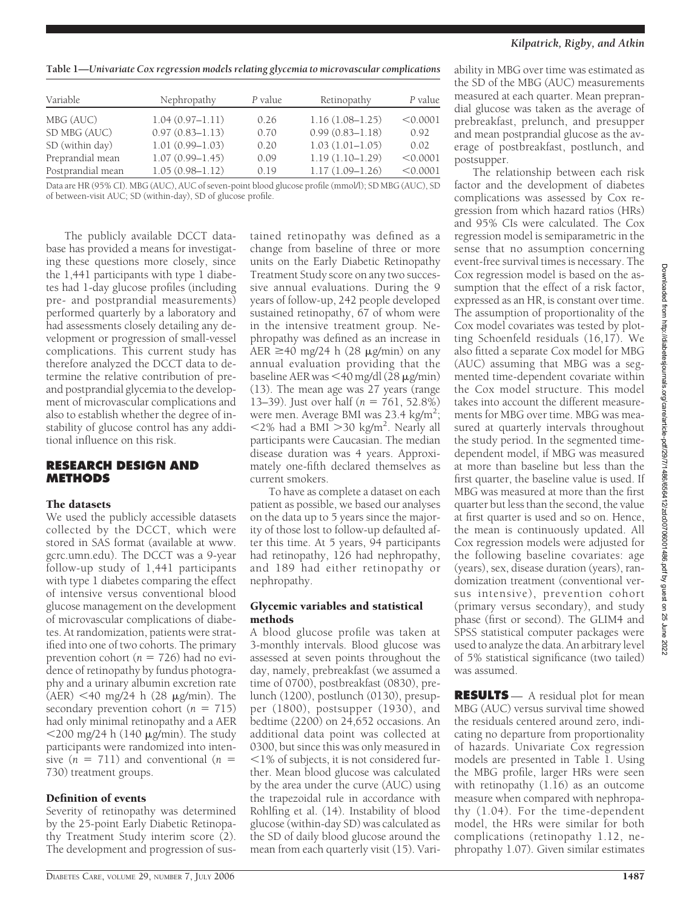*Kilpatrick, Rigby, and Atkin*

**Table 1—***Univariate Cox regression models relating glycemia to microvascular complications*

| Variable          | Nephropathy         | P value | Retinopathy         | P value  |
|-------------------|---------------------|---------|---------------------|----------|
| MBG (AUC)         | $1.04(0.97 - 1.11)$ | 0.26    | $1.16(1.08-1.25)$   | < 0.0001 |
| SD MBG (AUC)      | $0.97(0.83 - 1.13)$ | 0.70    | $0.99(0.83 - 1.18)$ | 0.92     |
| SD (within day)   | $1.01(0.99 - 1.03)$ | 0.20    | $1.03(1.01 - 1.05)$ | 0.02     |
| Preprandial mean  | $1.07(0.99 - 1.45)$ | 0.09    | $1.19(1.10-1.29)$   | < 0.0001 |
| Postprandial mean | $1.05(0.98 - 1.12)$ | 0.19    | $1.17(1.09 - 1.26)$ | < 0.0001 |

Data are HR (95% CI). MBG (AUC), AUC of seven-point blood glucose profile (mmol/l); SD MBG (AUC), SD of between-visit AUC; SD (within-day), SD of glucose profile.

#### The publicly available DCCT database has provided a means for investigating these questions more closely, since the 1,441 participants with type 1 diabetes had 1-day glucose profiles (including pre- and postprandial measurements) performed quarterly by a laboratory and had assessments closely detailing any development or progression of small-vessel complications. This current study has therefore analyzed the DCCT data to determine the relative contribution of preand postprandial glycemia to the development of microvascular complications and also to establish whether the degree of instability of glucose control has any additional influence on this risk.

## **RESEARCH DESIGN AND METHODS**

## The datasets

We used the publicly accessible datasets collected by the DCCT, which were stored in SAS format (available at www. gcrc.umn.edu). The DCCT was a 9-year follow-up study of 1,441 participants with type 1 diabetes comparing the effect of intensive versus conventional blood glucose management on the development of microvascular complications of diabetes. At randomization, patients were stratified into one of two cohorts. The primary prevention cohort ( $n = 726$ ) had no evidence of retinopathy by fundus photography and a urinary albumin excretion rate  $(AER)$  <40 mg/24 h (28  $\mu$ g/min). The secondary prevention cohort  $(n = 715)$ had only minimal retinopathy and a AER  $<$ 200 mg/24 h (140  $\mu$ g/min). The study participants were randomized into intensive  $(n = 711)$  and conventional  $(n = 711)$ 730) treatment groups.

## Definition of events

Severity of retinopathy was determined by the 25-point Early Diabetic Retinopathy Treatment Study interim score (2). The development and progression of sus-

tained retinopathy was defined as a change from baseline of three or more units on the Early Diabetic Retinopathy Treatment Study score on any two successive annual evaluations. During the 9 years of follow-up, 242 people developed sustained retinopathy, 67 of whom were in the intensive treatment group. Nephropathy was defined as an increase in AER  $\geq$ 40 mg/24 h (28 µg/min) on any annual evaluation providing that the baseline AER was <40 mg/dl (28 µg/min) (13). The mean age was 27 years (range 13–39). Just over half (*n* = 761, 52.8%) were men. Average BMI was 23.4 kg/m<sup>2</sup>;  $<$ 2% had a BMI $>$ 30 kg/m<sup>2</sup>. Nearly all participants were Caucasian. The median disease duration was 4 years. Approximately one-fifth declared themselves as current smokers.

To have as complete a dataset on each patient as possible, we based our analyses on the data up to 5 years since the majority of those lost to follow-up defaulted after this time. At 5 years, 94 participants had retinopathy, 126 had nephropathy, and 189 had either retinopathy or nephropathy.

## Glycemic variables and statistical methods

A blood glucose profile was taken at 3-monthly intervals. Blood glucose was assessed at seven points throughout the day, namely, prebreakfast (we assumed a time of 0700), postbreakfast (0830), prelunch (1200), postlunch (0130), presupper (1800), postsupper (1930), and bedtime (2200) on 24,652 occasions. An additional data point was collected at 0300, but since this was only measured in -1% of subjects, it is not considered further. Mean blood glucose was calculated by the area under the curve (AUC) using the trapezoidal rule in accordance with Rohlfing et al. (14). Instability of blood glucose (within-day SD) was calculated as the SD of daily blood glucose around the mean from each quarterly visit (15). Variability in MBG over time was estimated as the SD of the MBG (AUC) measurements measured at each quarter. Mean preprandial glucose was taken as the average of prebreakfast, prelunch, and presupper and mean postprandial glucose as the average of postbreakfast, postlunch, and postsupper.

The relationship between each risk factor and the development of diabetes complications was assessed by Cox regression from which hazard ratios (HRs) and 95% CIs were calculated. The Cox regression model is semiparametric in the sense that no assumption concerning event-free survival times is necessary. The Cox regression model is based on the assumption that the effect of a risk factor, expressed as an HR, is constant over time. The assumption of proportionality of the Cox model covariates was tested by plotting Schoenfeld residuals (16,17). We also fitted a separate Cox model for MBG (AUC) assuming that MBG was a segmented time-dependent covariate within the Cox model structure. This model takes into account the different measurements for MBG over time. MBG was measured at quarterly intervals throughout the study period. In the segmented timedependent model, if MBG was measured at more than baseline but less than the first quarter, the baseline value is used. If MBG was measured at more than the first quarter but less than the second, the value at first quarter is used and so on. Hence, the mean is continuously updated. All Cox regression models were adjusted for the following baseline covariates: age (years), sex, disease duration (years), randomization treatment (conventional versus intensive), prevention cohort (primary versus secondary), and study phase (first or second). The GLIM4 and SPSS statistical computer packages were used to analyze the data. An arbitrary level of 5% statistical significance (two tailed) was assumed.

**RESULTS** — A residual plot for mean MBG (AUC) versus survival time showed the residuals centered around zero, indicating no departure from proportionality of hazards. Univariate Cox regression models are presented in Table 1. Using the MBG profile, larger HRs were seen with retinopathy (1.16) as an outcome measure when compared with nephropathy (1.04). For the time-dependent model, the HRs were similar for both complications (retinopathy 1.12, nephropathy 1.07). Given similar estimates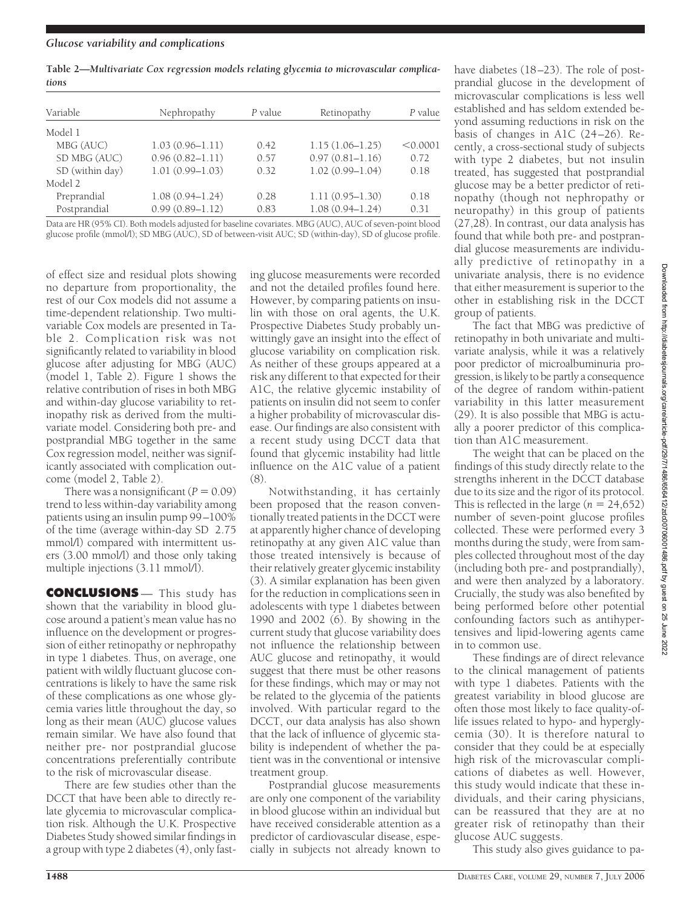**Table 2—***Multivariate Cox regression models relating glycemia to microvascular complications*

| Variable        | Nephropathy         | P value | Retinopathy         | P value  |
|-----------------|---------------------|---------|---------------------|----------|
| Model 1         |                     |         |                     |          |
| MBG (AUC)       | $1.03(0.96 - 1.11)$ | 0.42    | $1.15(1.06 - 1.25)$ | < 0.0001 |
| SD MBG (AUC)    | $0.96(0.82 - 1.11)$ | 0.57    | $0.97(0.81 - 1.16)$ | 0.72     |
| SD (within day) | $1.01(0.99 - 1.03)$ | 0.32    | $1.02(0.99 - 1.04)$ | 0.18     |
| Model 2         |                     |         |                     |          |
| Preprandial     | $1.08(0.94 - 1.24)$ | 0.28    | $1.11(0.95 - 1.30)$ | 0.18     |
| Postprandial    | $0.99(0.89 - 1.12)$ | 0.83    | $1.08(0.94 - 1.24)$ | 0.31     |

Data are HR (95% CI). Both models adjusted for baseline covariates. MBG (AUC), AUC of seven-point blood glucose profile (mmol/l); SD MBG (AUC), SD of between-visit AUC; SD (within-day), SD of glucose profile.

of effect size and residual plots showing no departure from proportionality, the rest of our Cox models did not assume a time-dependent relationship. Two multivariable Cox models are presented in Table 2. Complication risk was not significantly related to variability in blood glucose after adjusting for MBG (AUC) (model 1, Table 2). Figure 1 shows the relative contribution of rises in both MBG and within-day glucose variability to retinopathy risk as derived from the multivariate model. Considering both pre- and postprandial MBG together in the same Cox regression model, neither was significantly associated with complication outcome (model 2, Table 2).

There was a nonsignificant  $(P = 0.09)$ trend to less within-day variability among patients using an insulin pump 99–100% of the time (average within-day SD 2.75 mmol/l) compared with intermittent users (3.00 mmol/l) and those only taking multiple injections (3.11 mmol/l).

**CONCLUSIONS** — This study has shown that the variability in blood glucose around a patient's mean value has no influence on the development or progression of either retinopathy or nephropathy in type 1 diabetes. Thus, on average, one patient with wildly fluctuant glucose concentrations is likely to have the same risk of these complications as one whose glycemia varies little throughout the day, so long as their mean (AUC) glucose values remain similar. We have also found that neither pre- nor postprandial glucose concentrations preferentially contribute to the risk of microvascular disease.

There are few studies other than the DCCT that have been able to directly relate glycemia to microvascular complication risk. Although the U.K. Prospective Diabetes Study showed similar findings in a group with type 2 diabetes (4), only fast-

ing glucose measurements were recorded and not the detailed profiles found here. However, by comparing patients on insulin with those on oral agents, the U.K. Prospective Diabetes Study probably unwittingly gave an insight into the effect of glucose variability on complication risk. As neither of these groups appeared at a risk any different to that expected for their A1C, the relative glycemic instability of patients on insulin did not seem to confer a higher probability of microvascular disease. Our findings are also consistent with a recent study using DCCT data that found that glycemic instability had little influence on the A1C value of a patient  $(8)$ 

Notwithstanding, it has certainly been proposed that the reason conventionally treated patients in the DCCT were at apparently higher chance of developing retinopathy at any given A1C value than those treated intensively is because of their relatively greater glycemic instability (3). A similar explanation has been given for the reduction in complications seen in adolescents with type 1 diabetes between 1990 and 2002 (6). By showing in the current study that glucose variability does not influence the relationship between AUC glucose and retinopathy, it would suggest that there must be other reasons for these findings, which may or may not be related to the glycemia of the patients involved. With particular regard to the DCCT, our data analysis has also shown that the lack of influence of glycemic stability is independent of whether the patient was in the conventional or intensive treatment group.

Postprandial glucose measurements are only one component of the variability in blood glucose within an individual but have received considerable attention as a predictor of cardiovascular disease, especially in subjects not already known to

have diabetes (18–23). The role of postprandial glucose in the development of microvascular complications is less well established and has seldom extended beyond assuming reductions in risk on the basis of changes in A1C (24–26). Recently, a cross-sectional study of subjects with type 2 diabetes, but not insulin treated, has suggested that postprandial glucose may be a better predictor of retinopathy (though not nephropathy or neuropathy) in this group of patients (27,28). In contrast, our data analysis has found that while both pre- and postprandial glucose measurements are individually predictive of retinopathy in a univariate analysis, there is no evidence that either measurement is superior to the other in establishing risk in the DCCT group of patients.

The fact that MBG was predictive of retinopathy in both univariate and multivariate analysis, while it was a relatively poor predictor of microalbuminuria progression, is likely to be partly a consequence of the degree of random within-patient variability in this latter measurement (29). It is also possible that MBG is actually a poorer predictor of this complication than A1C measurement.

The weight that can be placed on the findings of this study directly relate to the strengths inherent in the DCCT database due to its size and the rigor of its protocol. This is reflected in the large  $(n = 24,652)$ number of seven-point glucose profiles collected. These were performed every 3 months during the study, were from samples collected throughout most of the day (including both pre- and postprandially), and were then analyzed by a laboratory. Crucially, the study was also benefited by being performed before other potential confounding factors such as antihypertensives and lipid-lowering agents came in to common use.

These findings are of direct relevance to the clinical management of patients with type 1 diabetes. Patients with the greatest variability in blood glucose are often those most likely to face quality-oflife issues related to hypo- and hyperglycemia (30). It is therefore natural to consider that they could be at especially high risk of the microvascular complications of diabetes as well. However, this study would indicate that these individuals, and their caring physicians, can be reassured that they are at no greater risk of retinopathy than their glucose AUC suggests.

This study also gives guidance to pa-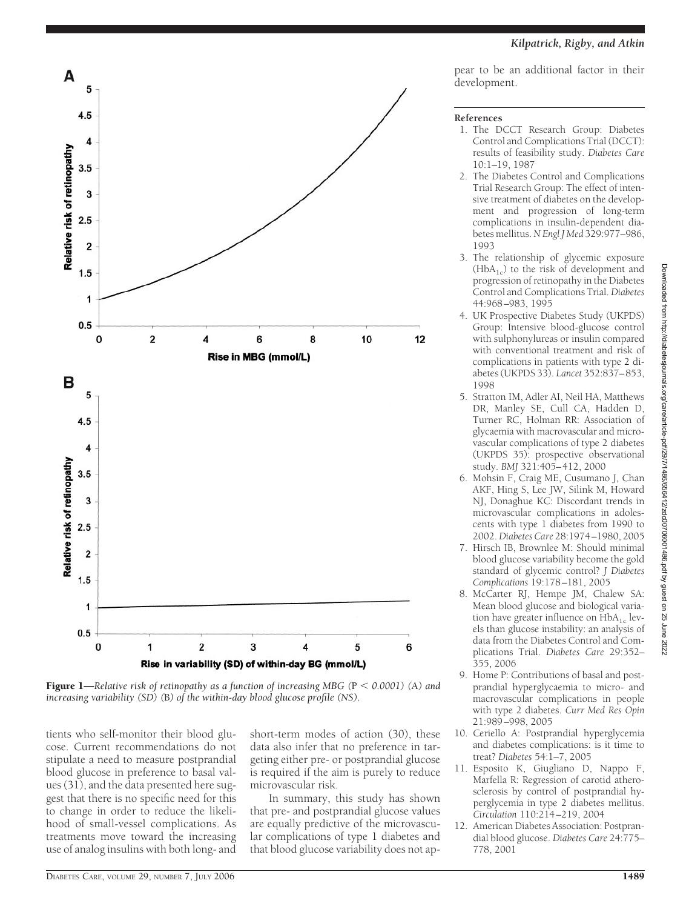

**Figure 1—***Relative risk of retinopathy as a function of increasing MBG (* $P < 0.0001$ *) (A) and increasing variability (SD) (*B*) of the within-day blood glucose profile (NS).*

tients who self-monitor their blood glucose. Current recommendations do not stipulate a need to measure postprandial blood glucose in preference to basal values (31), and the data presented here suggest that there is no specific need for this to change in order to reduce the likelihood of small-vessel complications. As treatments move toward the increasing use of analog insulins with both long- and short-term modes of action (30), these data also infer that no preference in targeting either pre- or postprandial glucose is required if the aim is purely to reduce microvascular risk.

In summary, this study has shown that pre- and postprandial glucose values are equally predictive of the microvascular complications of type 1 diabetes and that blood glucose variability does not appear to be an additional factor in their development.

#### **References**

- 1. The DCCT Research Group: Diabetes Control and Complications Trial (DCCT): results of feasibility study. *Diabetes Care* 10:1–19, 1987
- 2. The Diabetes Control and Complications Trial Research Group: The effect of intensive treatment of diabetes on the development and progression of long-term complications in insulin-dependent diabetes mellitus.*N Engl J Med* 329:977–986, 1993
- 3. The relationship of glycemic exposure  $(HbA<sub>1c</sub>)$  to the risk of development and progression of retinopathy in the Diabetes Control and Complications Trial. *Diabetes* 44:968–983, 1995
- 4. UK Prospective Diabetes Study (UKPDS) Group: Intensive blood-glucose control with sulphonylureas or insulin compared with conventional treatment and risk of complications in patients with type 2 diabetes (UKPDS 33). *Lancet* 352:837–853, 1998
- 5. Stratton IM, Adler AI, Neil HA, Matthews DR, Manley SE, Cull CA, Hadden D, Turner RC, Holman RR: Association of glycaemia with macrovascular and microvascular complications of type 2 diabetes (UKPDS 35): prospective observational study. *BMJ* 321:405–412, 2000
- 6. Mohsin F, Craig ME, Cusumano J, Chan AKF, Hing S, Lee JW, Silink M, Howard NJ, Donaghue KC: Discordant trends in microvascular complications in adolescents with type 1 diabetes from 1990 to 2002.*Diabetes Care* 28:1974–1980, 2005
- 7. Hirsch IB, Brownlee M: Should minimal blood glucose variability become the gold standard of glycemic control? *J Diabetes Complications* 19:178–181, 2005
- 8. McCarter RJ, Hempe JM, Chalew SA: Mean blood glucose and biological variation have greater influence on  $HbA_{1c}$  levels than glucose instability: an analysis of data from the Diabetes Control and Complications Trial. *Diabetes Care* 29:352– 355, 2006
- 9. Home P: Contributions of basal and postprandial hyperglycaemia to micro- and macrovascular complications in people with type 2 diabetes. *Curr Med Res Opin* 21:989–998, 2005
- 10. Ceriello A: Postprandial hyperglycemia and diabetes complications: is it time to treat? *Diabetes* 54:1–7, 2005
- 11. Esposito K, Giugliano D, Nappo F, Marfella R: Regression of carotid atherosclerosis by control of postprandial hyperglycemia in type 2 diabetes mellitus. *Circulation* 110:214–219, 2004
- 12. American Diabetes Association: Postprandial blood glucose. *Diabetes Care* 24:775– 778, 2001